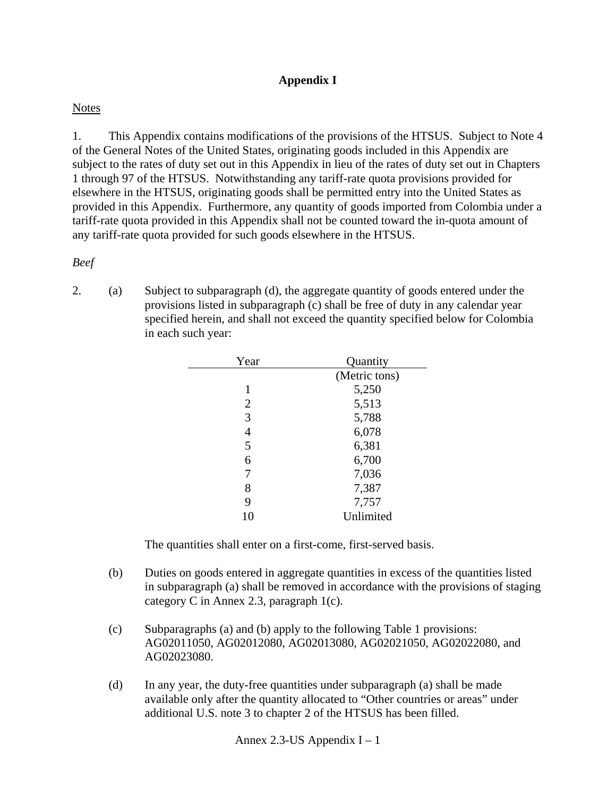# **Appendix I**

### **Notes**

1. This Appendix contains modifications of the provisions of the HTSUS. Subject to Note 4 of the General Notes of the United States, originating goods included in this Appendix are subject to the rates of duty set out in this Appendix in lieu of the rates of duty set out in Chapters 1 through 97 of the HTSUS. Notwithstanding any tariff-rate quota provisions provided for elsewhere in the HTSUS, originating goods shall be permitted entry into the United States as provided in this Appendix. Furthermore, any quantity of goods imported from Colombia under a tariff-rate quota provided in this Appendix shall not be counted toward the in-quota amount of any tariff-rate quota provided for such goods elsewhere in the HTSUS.

### *Beef*

2. (a) Subject to subparagraph (d), the aggregate quantity of goods entered under the provisions listed in subparagraph (c) shall be free of duty in any calendar year specified herein, and shall not exceed the quantity specified below for Colombia in each such year:

| Year | Quantity      |
|------|---------------|
|      | (Metric tons) |
| 1    | 5,250         |
| 2    | 5,513         |
| 3    | 5,788         |
| 4    | 6,078         |
| 5    | 6,381         |
| 6    | 6,700         |
| 7    | 7,036         |
| 8    | 7,387         |
| 9    | 7,757         |
| 10   | Unlimited     |

- (b) Duties on goods entered in aggregate quantities in excess of the quantities listed in subparagraph (a) shall be removed in accordance with the provisions of staging category C in Annex 2.3, paragraph 1(c).
- (c) Subparagraphs (a) and (b) apply to the following Table 1 provisions: AG02011050, AG02012080, AG02013080, AG02021050, AG02022080, and AG02023080.
- (d) In any year, the duty-free quantities under subparagraph (a) shall be made available only after the quantity allocated to "Other countries or areas" under additional U.S. note 3 to chapter 2 of the HTSUS has been filled.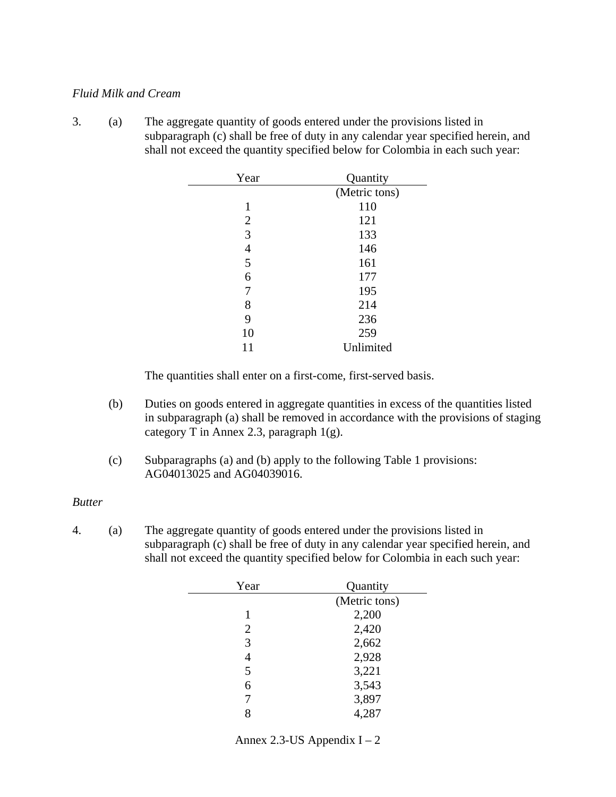#### *Fluid Milk and Cream*

3. (a) The aggregate quantity of goods entered under the provisions listed in subparagraph (c) shall be free of duty in any calendar year specified herein, and shall not exceed the quantity specified below for Colombia in each such year:

| Year           | Quantity      |
|----------------|---------------|
|                | (Metric tons) |
| 1              | 110           |
| $\overline{2}$ | 121           |
| 3              | 133           |
| 4              | 146           |
| 5              | 161           |
| 6              | 177           |
| 7              | 195           |
| 8              | 214           |
| 9              | 236           |
| 10             | 259           |
| 11             | Unlimited     |

The quantities shall enter on a first-come, first-served basis.

- (b) Duties on goods entered in aggregate quantities in excess of the quantities listed in subparagraph (a) shall be removed in accordance with the provisions of staging category T in Annex 2.3, paragraph  $1(g)$ .
- (c) Subparagraphs (a) and (b) apply to the following Table 1 provisions: AG04013025 and AG04039016.

#### *Butter*

4. (a) The aggregate quantity of goods entered under the provisions listed in subparagraph (c) shall be free of duty in any calendar year specified herein, and shall not exceed the quantity specified below for Colombia in each such year:

| Year           | Quantity      |
|----------------|---------------|
|                | (Metric tons) |
| 1              | 2,200         |
| $\overline{2}$ | 2,420         |
| 3              | 2,662         |
| 4              | 2,928         |
| 5              | 3,221         |
| 6              | 3,543         |
|                | 3,897         |
| 8              | 4,287         |

Annex 2.3-US Appendix  $I - 2$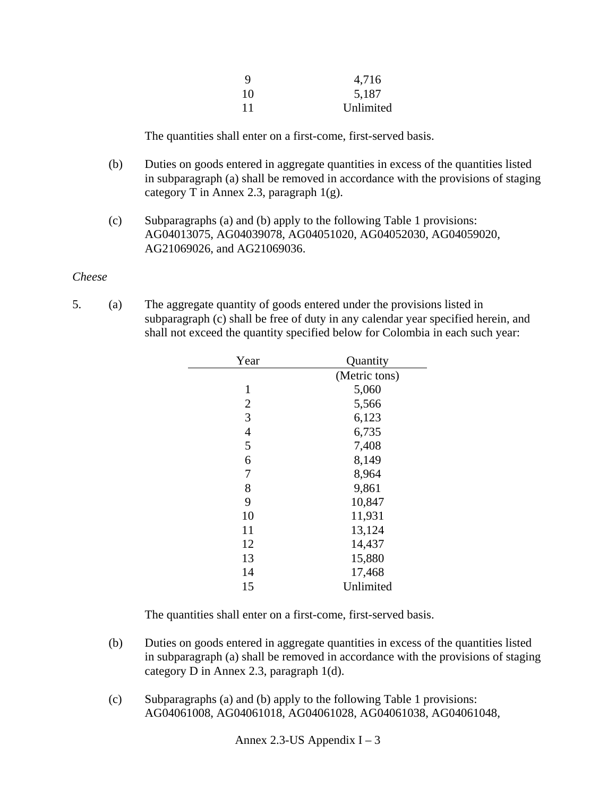| 9  | 4,716     |
|----|-----------|
| 10 | 5,187     |
| 11 | Unlimited |

The quantities shall enter on a first-come, first-served basis.

- (b) Duties on goods entered in aggregate quantities in excess of the quantities listed in subparagraph (a) shall be removed in accordance with the provisions of staging category T in Annex 2.3, paragraph 1(g).
- (c) Subparagraphs (a) and (b) apply to the following Table 1 provisions: AG04013075, AG04039078, AG04051020, AG04052030, AG04059020, AG21069026, and AG21069036.

#### *Cheese*

5. (a) The aggregate quantity of goods entered under the provisions listed in subparagraph (c) shall be free of duty in any calendar year specified herein, and shall not exceed the quantity specified below for Colombia in each such year:

| Year           | Quantity      |
|----------------|---------------|
|                | (Metric tons) |
| 1              | 5,060         |
| $\overline{2}$ | 5,566         |
| 3              | 6,123         |
| $\overline{4}$ | 6,735         |
| 5              | 7,408         |
| 6              | 8,149         |
| 7              | 8,964         |
| 8              | 9,861         |
| 9              | 10,847        |
| 10             | 11,931        |
| 11             | 13,124        |
| 12             | 14,437        |
| 13             | 15,880        |
| 14             | 17,468        |
| 15             | Unlimited     |

- (b) Duties on goods entered in aggregate quantities in excess of the quantities listed in subparagraph (a) shall be removed in accordance with the provisions of staging category D in Annex 2.3, paragraph 1(d).
- (c) Subparagraphs (a) and (b) apply to the following Table 1 provisions: AG04061008, AG04061018, AG04061028, AG04061038, AG04061048,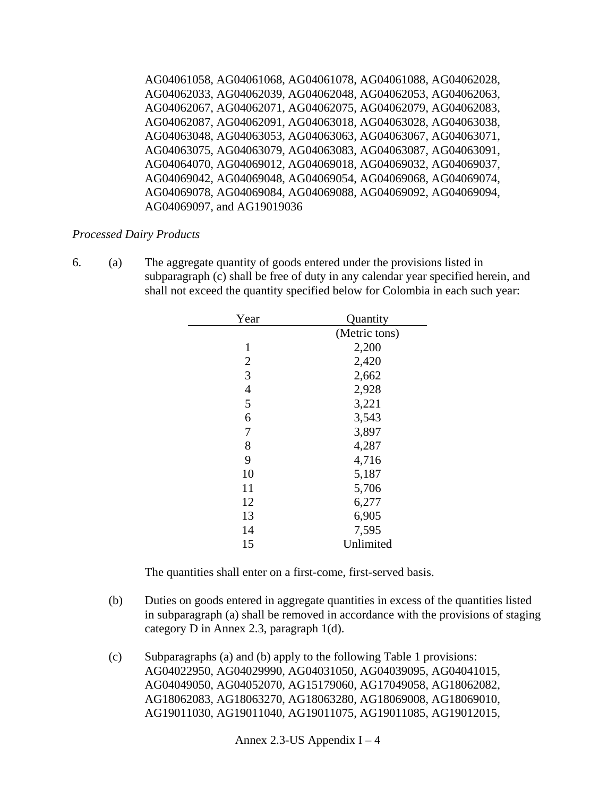AG04061058, AG04061068, AG04061078, AG04061088, AG04062028, AG04062033, AG04062039, AG04062048, AG04062053, AG04062063, AG04062067, AG04062071, AG04062075, AG04062079, AG04062083, AG04062087, AG04062091, AG04063018, AG04063028, AG04063038, AG04063048, AG04063053, AG04063063, AG04063067, AG04063071, AG04063075, AG04063079, AG04063083, AG04063087, AG04063091, AG04064070, AG04069012, AG04069018, AG04069032, AG04069037, AG04069042, AG04069048, AG04069054, AG04069068, AG04069074, AG04069078, AG04069084, AG04069088, AG04069092, AG04069094, AG04069097, and AG19019036

## *Processed Dairy Products*

6. (a) The aggregate quantity of goods entered under the provisions listed in subparagraph (c) shall be free of duty in any calendar year specified herein, and shall not exceed the quantity specified below for Colombia in each such year:

| Year           | Quantity      |
|----------------|---------------|
|                | (Metric tons) |
| 1              | 2,200         |
| $\overline{2}$ | 2,420         |
| 3              | 2,662         |
| $\overline{4}$ | 2,928         |
| 5              | 3,221         |
| 6              | 3,543         |
| 7              | 3,897         |
| 8              | 4,287         |
| 9              | 4,716         |
| 10             | 5,187         |
| 11             | 5,706         |
| 12             | 6,277         |
| 13             | 6,905         |
| 14             | 7,595         |
| 15             | Unlimited     |

- (b) Duties on goods entered in aggregate quantities in excess of the quantities listed in subparagraph (a) shall be removed in accordance with the provisions of staging category D in Annex 2.3, paragraph 1(d).
- (c) Subparagraphs (a) and (b) apply to the following Table 1 provisions: AG04022950, AG04029990, AG04031050, AG04039095, AG04041015, AG04049050, AG04052070, AG15179060, AG17049058, AG18062082, AG18062083, AG18063270, AG18063280, AG18069008, AG18069010, AG19011030, AG19011040, AG19011075, AG19011085, AG19012015,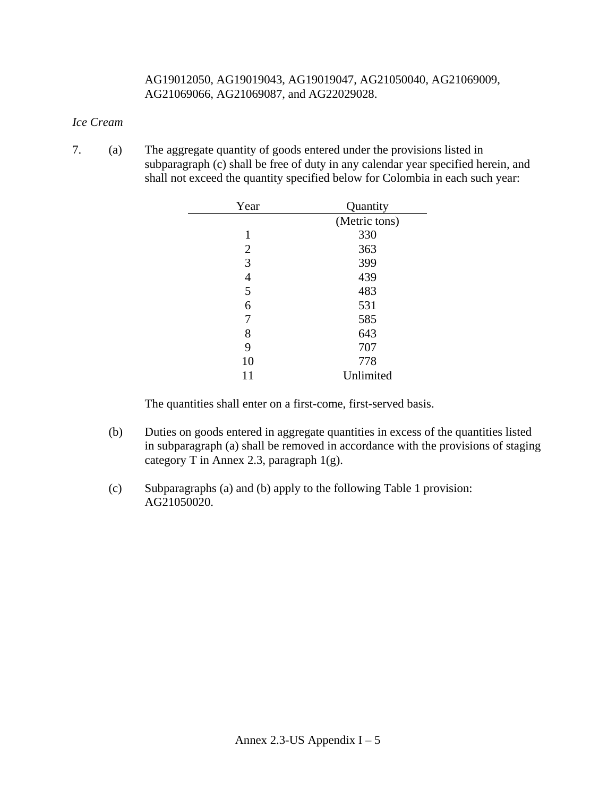#### AG19012050, AG19019043, AG19019047, AG21050040, AG21069009, AG21069066, AG21069087, and AG22029028.

### *Ice Cream*

7. (a) The aggregate quantity of goods entered under the provisions listed in subparagraph (c) shall be free of duty in any calendar year specified herein, and shall not exceed the quantity specified below for Colombia in each such year:

| Year           | Quantity      |
|----------------|---------------|
|                | (Metric tons) |
| 1              | 330           |
| $\overline{2}$ | 363           |
| 3              | 399           |
| 4              | 439           |
| 5              | 483           |
| 6              | 531           |
| 7              | 585           |
| 8              | 643           |
| 9              | 707           |
| 10             | 778           |
| 11             | Unlimited     |

- (b) Duties on goods entered in aggregate quantities in excess of the quantities listed in subparagraph (a) shall be removed in accordance with the provisions of staging category T in Annex 2.3, paragraph 1(g).
- (c) Subparagraphs (a) and (b) apply to the following Table 1 provision: AG21050020.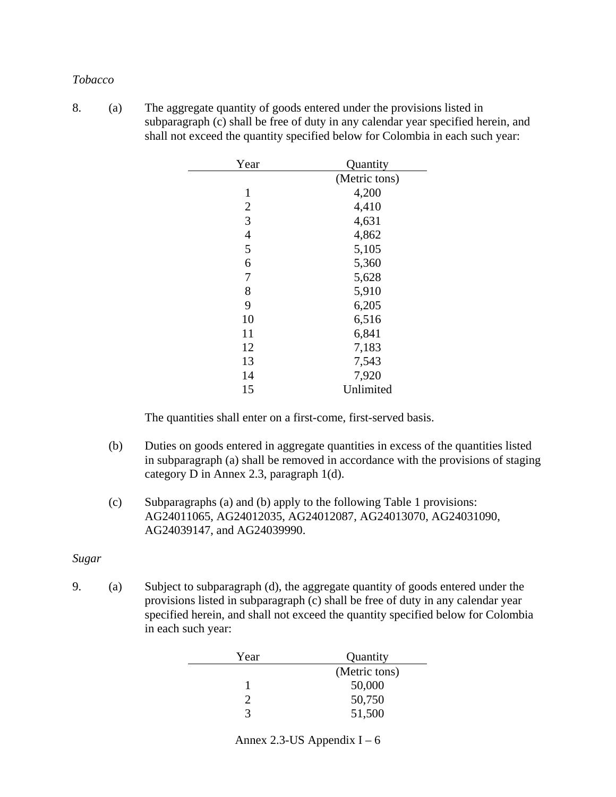#### *Tobacco*

8. (a) The aggregate quantity of goods entered under the provisions listed in subparagraph (c) shall be free of duty in any calendar year specified herein, and shall not exceed the quantity specified below for Colombia in each such year:

| Year           | Quantity      |
|----------------|---------------|
|                | (Metric tons) |
| 1              | 4,200         |
| $\overline{2}$ | 4,410         |
| 3              | 4,631         |
| 4              | 4,862         |
| 5              | 5,105         |
| 6              | 5,360         |
| 7              | 5,628         |
| 8              | 5,910         |
| 9              | 6,205         |
| 10             | 6,516         |
| 11             | 6,841         |
| 12             | 7,183         |
| 13             | 7,543         |
| 14             | 7,920         |
| 15             | Unlimited     |

The quantities shall enter on a first-come, first-served basis.

- (b) Duties on goods entered in aggregate quantities in excess of the quantities listed in subparagraph (a) shall be removed in accordance with the provisions of staging category D in Annex 2.3, paragraph 1(d).
- (c) Subparagraphs (a) and (b) apply to the following Table 1 provisions: AG24011065, AG24012035, AG24012087, AG24013070, AG24031090, AG24039147, and AG24039990.

### *Sugar*

9. (a) Subject to subparagraph (d), the aggregate quantity of goods entered under the provisions listed in subparagraph (c) shall be free of duty in any calendar year specified herein, and shall not exceed the quantity specified below for Colombia in each such year:

| Year | Quantity      |
|------|---------------|
|      | (Metric tons) |
|      | 50,000        |
|      | 50,750        |
| 2    | 51,500        |

#### Annex 2.3-US Appendix  $I - 6$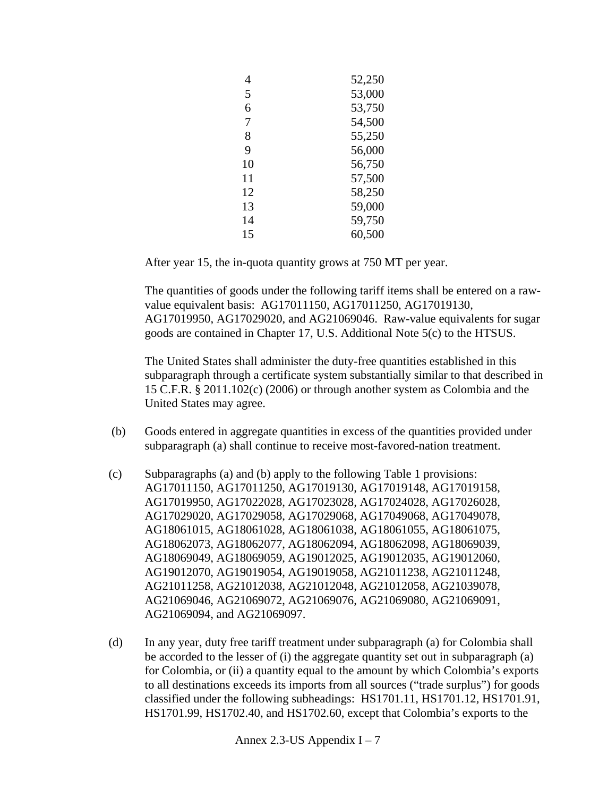| 4  | 52,250 |
|----|--------|
| 5  | 53,000 |
| 6  | 53,750 |
| 7  | 54,500 |
| 8  | 55,250 |
| 9  | 56,000 |
| 10 | 56,750 |
| 11 | 57,500 |
| 12 | 58,250 |
| 13 | 59,000 |
| 14 | 59,750 |
| 15 | 60,500 |

After year 15, the in-quota quantity grows at 750 MT per year.

The quantities of goods under the following tariff items shall be entered on a rawvalue equivalent basis: AG17011150, AG17011250, AG17019130, AG17019950, AG17029020, and AG21069046. Raw-value equivalents for sugar goods are contained in Chapter 17, U.S. Additional Note 5(c) to the HTSUS.

The United States shall administer the duty-free quantities established in this subparagraph through a certificate system substantially similar to that described in 15 C.F.R. § 2011.102(c) (2006) or through another system as Colombia and the United States may agree.

- (b) Goods entered in aggregate quantities in excess of the quantities provided under subparagraph (a) shall continue to receive most-favored-nation treatment.
- (c) Subparagraphs (a) and (b) apply to the following Table 1 provisions: AG17011150, AG17011250, AG17019130, AG17019148, AG17019158, AG17019950, AG17022028, AG17023028, AG17024028, AG17026028, AG17029020, AG17029058, AG17029068, AG17049068, AG17049078, AG18061015, AG18061028, AG18061038, AG18061055, AG18061075, AG18062073, AG18062077, AG18062094, AG18062098, AG18069039, AG18069049, AG18069059, AG19012025, AG19012035, AG19012060, AG19012070, AG19019054, AG19019058, AG21011238, AG21011248, AG21011258, AG21012038, AG21012048, AG21012058, AG21039078, AG21069046, AG21069072, AG21069076, AG21069080, AG21069091, AG21069094, and AG21069097.
- (d) In any year, duty free tariff treatment under subparagraph (a) for Colombia shall be accorded to the lesser of (i) the aggregate quantity set out in subparagraph (a) for Colombia, or (ii) a quantity equal to the amount by which Colombia's exports to all destinations exceeds its imports from all sources ("trade surplus") for goods classified under the following subheadings: HS1701.11, HS1701.12, HS1701.91, HS1701.99, HS1702.40, and HS1702.60, except that Colombia's exports to the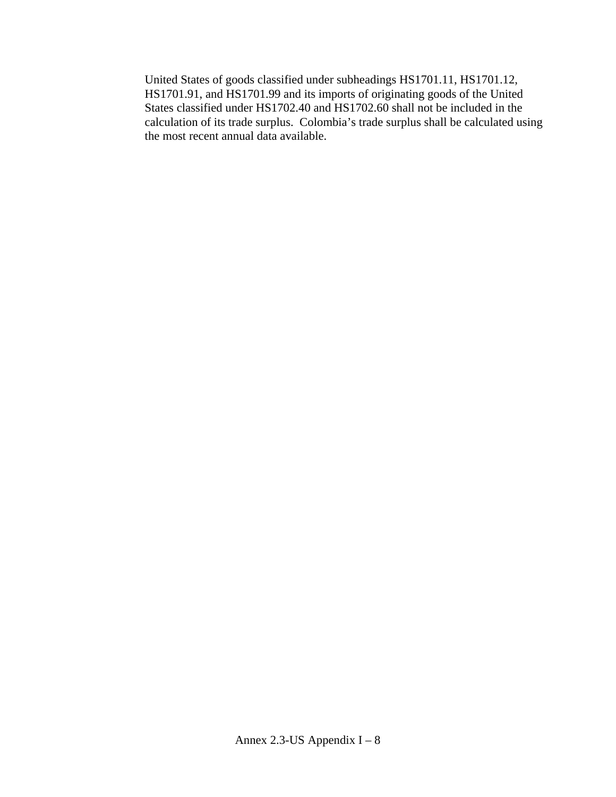United States of goods classified under subheadings HS1701.11, HS1701.12, HS1701.91, and HS1701.99 and its imports of originating goods of the United States classified under HS1702.40 and HS1702.60 shall not be included in the calculation of its trade surplus. Colombia's trade surplus shall be calculated using the most recent annual data available.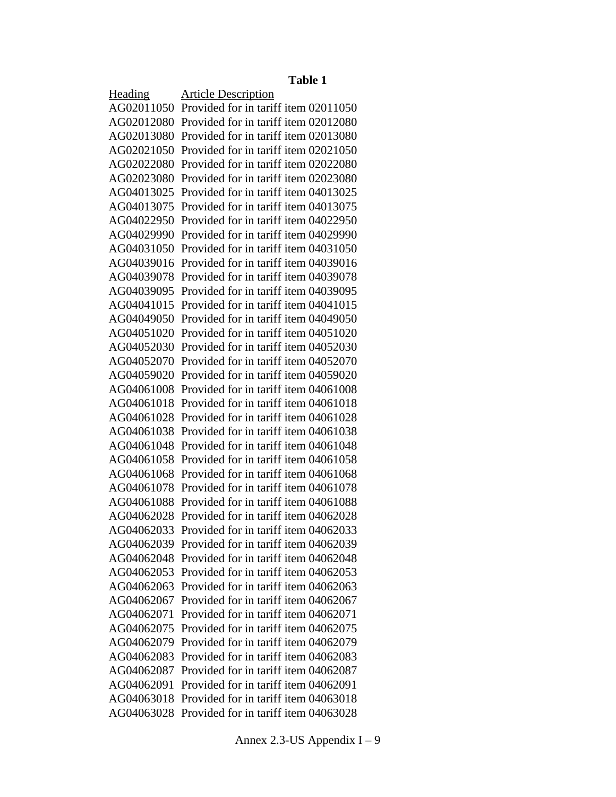#### **Table 1**

Heading Article Description AG02011050 Provided for in tariff item 02011050 AG02012080 Provided for in tariff item 02012080 AG02013080 Provided for in tariff item 02013080 AG02021050 Provided for in tariff item 02021050 AG02022080 Provided for in tariff item 02022080 AG02023080 Provided for in tariff item 02023080 AG04013025 Provided for in tariff item 04013025 AG04013075 Provided for in tariff item 04013075 AG04022950 Provided for in tariff item 04022950 AG04029990 Provided for in tariff item 04029990 AG04031050 Provided for in tariff item 04031050 AG04039016 Provided for in tariff item 04039016 AG04039078 Provided for in tariff item 04039078 AG04039095 Provided for in tariff item 04039095 AG04041015 Provided for in tariff item 04041015 AG04049050 Provided for in tariff item 04049050 AG04051020 Provided for in tariff item 04051020 AG04052030 Provided for in tariff item 04052030 AG04052070 Provided for in tariff item 04052070 AG04059020 Provided for in tariff item 04059020 AG04061008 Provided for in tariff item 04061008 AG04061018 Provided for in tariff item 04061018 AG04061028 Provided for in tariff item 04061028 AG04061038 Provided for in tariff item 04061038 AG04061048 Provided for in tariff item 04061048 AG04061058 Provided for in tariff item 04061058 AG04061068 Provided for in tariff item 04061068 AG04061078 Provided for in tariff item 04061078 AG04061088 Provided for in tariff item 04061088 AG04062028 Provided for in tariff item 04062028 AG04062033 Provided for in tariff item 04062033 AG04062039 Provided for in tariff item 04062039 AG04062048 Provided for in tariff item 04062048 AG04062053 Provided for in tariff item 04062053 AG04062063 Provided for in tariff item 04062063 AG04062067 Provided for in tariff item 04062067 AG04062071 Provided for in tariff item 04062071 AG04062075 Provided for in tariff item 04062075 AG04062079 Provided for in tariff item 04062079 AG04062083 Provided for in tariff item 04062083 AG04062087 Provided for in tariff item 04062087 AG04062091 Provided for in tariff item 04062091 AG04063018 Provided for in tariff item 04063018 AG04063028 Provided for in tariff item 04063028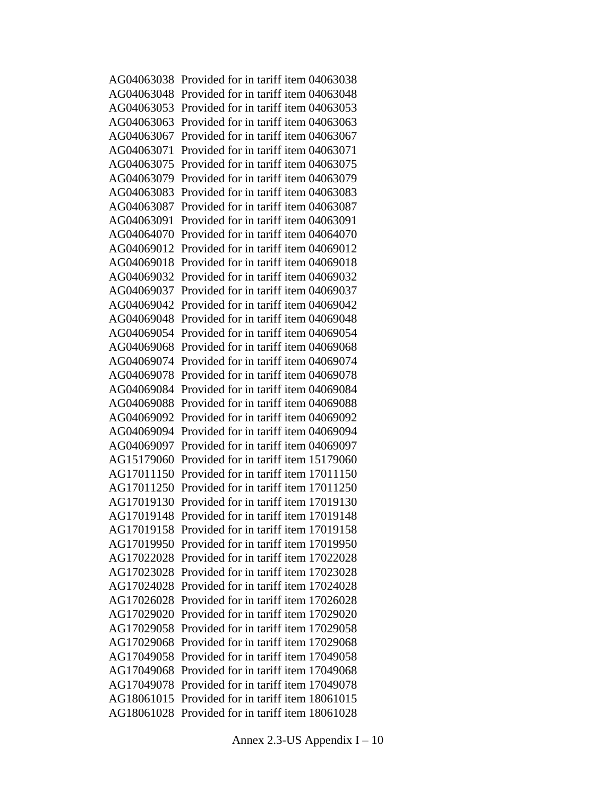AG04063038 Provided for in tariff item 04063038 AG04063048 Provided for in tariff item 04063048 AG04063053 Provided for in tariff item 04063053 AG04063063 Provided for in tariff item 04063063 AG04063067 Provided for in tariff item 04063067 AG04063071 Provided for in tariff item 04063071 AG04063075 Provided for in tariff item 04063075 AG04063079 Provided for in tariff item 04063079 AG04063083 Provided for in tariff item 04063083 AG04063087 Provided for in tariff item 04063087 AG04063091 Provided for in tariff item 04063091 AG04064070 Provided for in tariff item 04064070 AG04069012 Provided for in tariff item 04069012 AG04069018 Provided for in tariff item 04069018 AG04069032 Provided for in tariff item 04069032 AG04069037 Provided for in tariff item 04069037 AG04069042 Provided for in tariff item 04069042 AG04069048 Provided for in tariff item 04069048 AG04069054 Provided for in tariff item 04069054 AG04069068 Provided for in tariff item 04069068 AG04069074 Provided for in tariff item 04069074 AG04069078 Provided for in tariff item 04069078 AG04069084 Provided for in tariff item 04069084 AG04069088 Provided for in tariff item 04069088 AG04069092 Provided for in tariff item 04069092 AG04069094 Provided for in tariff item 04069094 AG04069097 Provided for in tariff item 04069097 AG15179060 Provided for in tariff item 15179060 AG17011150 Provided for in tariff item 17011150 AG17011250 Provided for in tariff item 17011250 AG17019130 Provided for in tariff item 17019130 AG17019148 Provided for in tariff item 17019148 AG17019158 Provided for in tariff item 17019158 AG17019950 Provided for in tariff item 17019950 AG17022028 Provided for in tariff item 17022028 AG17023028 Provided for in tariff item 17023028 AG17024028 Provided for in tariff item 17024028 AG17026028 Provided for in tariff item 17026028 AG17029020 Provided for in tariff item 17029020 AG17029058 Provided for in tariff item 17029058 AG17029068 Provided for in tariff item 17029068 AG17049058 Provided for in tariff item 17049058 AG17049068 Provided for in tariff item 17049068 AG17049078 Provided for in tariff item 17049078 AG18061015 Provided for in tariff item 18061015 AG18061028 Provided for in tariff item 18061028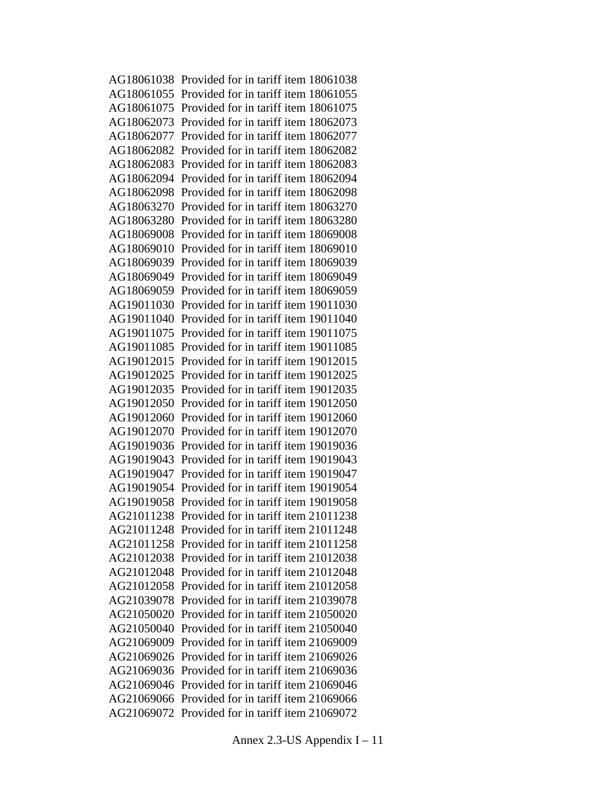AG18061038 Provided for in tariff item 18061038 AG18061055 Provided for in tariff item 18061055 AG18061075 Provided for in tariff item 18061075 AG18062073 Provided for in tariff item 18062073 AG18062077 Provided for in tariff item 18062077 AG18062082 Provided for in tariff item 18062082 AG18062083 Provided for in tariff item 18062083 AG18062094 Provided for in tariff item 18062094 AG18062098 Provided for in tariff item 18062098 AG18063270 Provided for in tariff item 18063270 AG18063280 Provided for in tariff item 18063280 AG18069008 Provided for in tariff item 18069008 AG18069010 Provided for in tariff item 18069010 AG18069039 Provided for in tariff item 18069039 AG18069049 Provided for in tariff item 18069049 AG18069059 Provided for in tariff item 18069059 AG19011030 Provided for in tariff item 19011030 AG19011040 Provided for in tariff item 19011040 AG19011075 Provided for in tariff item 19011075 AG19011085 Provided for in tariff item 19011085 AG19012015 Provided for in tariff item 19012015 AG19012025 Provided for in tariff item 19012025 AG19012035 Provided for in tariff item 19012035 AG19012050 Provided for in tariff item 19012050 AG19012060 Provided for in tariff item 19012060 AG19012070 Provided for in tariff item 19012070 AG19019036 Provided for in tariff item 19019036 AG19019043 Provided for in tariff item 19019043 AG19019047 Provided for in tariff item 19019047 AG19019054 Provided for in tariff item 19019054 AG19019058 Provided for in tariff item 19019058 AG21011238 Provided for in tariff item 21011238 AG21011248 Provided for in tariff item 21011248 AG21011258 Provided for in tariff item 21011258 AG21012038 Provided for in tariff item 21012038 AG21012048 Provided for in tariff item 21012048 AG21012058 Provided for in tariff item 21012058 AG21039078 Provided for in tariff item 21039078 AG21050020 Provided for in tariff item 21050020 AG21050040 Provided for in tariff item 21050040 AG21069009 Provided for in tariff item 21069009 AG21069026 Provided for in tariff item 21069026 AG21069036 Provided for in tariff item 21069036 AG21069046 Provided for in tariff item 21069046 AG21069066 Provided for in tariff item 21069066 AG21069072 Provided for in tariff item 21069072